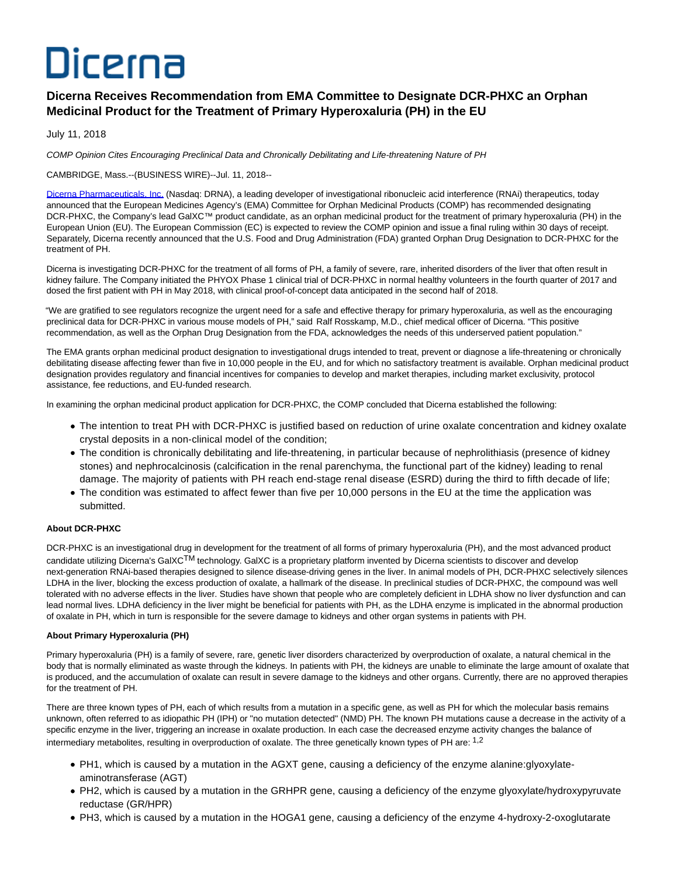# Dicerna

# **Dicerna Receives Recommendation from EMA Committee to Designate DCR-PHXC an Orphan Medicinal Product for the Treatment of Primary Hyperoxaluria (PH) in the EU**

July 11, 2018

COMP Opinion Cites Encouraging Preclinical Data and Chronically Debilitating and Life-threatening Nature of PH

CAMBRIDGE, Mass.--(BUSINESS WIRE)--Jul. 11, 2018--

[Dicerna Pharmaceuticals, Inc. \(](http://cts.businesswire.com/ct/CT?id=smartlink&url=http%3A%2F%2Fdicerna.com%2F&esheet=51834707&newsitemid=20180711005135&lan=en-US&anchor=Dicerna+Pharmaceuticals%2C+Inc.&index=1&md5=d64f53bb77813129ae7bd1e66e760aa2)Nasdaq: DRNA), a leading developer of investigational ribonucleic acid interference (RNAi) therapeutics, todav announced that the European Medicines Agency's (EMA) Committee for Orphan Medicinal Products (COMP) has recommended designating DCR-PHXC, the Company's lead GalXC™ product candidate, as an orphan medicinal product for the treatment of primary hyperoxaluria (PH) in the European Union (EU). The European Commission (EC) is expected to review the COMP opinion and issue a final ruling within 30 days of receipt. Separately, Dicerna recently announced that the U.S. Food and Drug Administration (FDA) granted Orphan Drug Designation to DCR-PHXC for the treatment of PH.

Dicerna is investigating DCR-PHXC for the treatment of all forms of PH, a family of severe, rare, inherited disorders of the liver that often result in kidney failure. The Company initiated the PHYOX Phase 1 clinical trial of DCR-PHXC in normal healthy volunteers in the fourth quarter of 2017 and dosed the first patient with PH in May 2018, with clinical proof-of-concept data anticipated in the second half of 2018.

"We are gratified to see regulators recognize the urgent need for a safe and effective therapy for primary hyperoxaluria, as well as the encouraging preclinical data for DCR-PHXC in various mouse models of PH," said Ralf Rosskamp, M.D., chief medical officer of Dicerna. "This positive recommendation, as well as the Orphan Drug Designation from the FDA, acknowledges the needs of this underserved patient population."

The EMA grants orphan medicinal product designation to investigational drugs intended to treat, prevent or diagnose a life-threatening or chronically debilitating disease affecting fewer than five in 10,000 people in the EU, and for which no satisfactory treatment is available. Orphan medicinal product designation provides regulatory and financial incentives for companies to develop and market therapies, including market exclusivity, protocol assistance, fee reductions, and EU-funded research.

In examining the orphan medicinal product application for DCR-PHXC, the COMP concluded that Dicerna established the following:

- The intention to treat PH with DCR-PHXC is justified based on reduction of urine oxalate concentration and kidney oxalate crystal deposits in a non-clinical model of the condition;
- The condition is chronically debilitating and life-threatening, in particular because of nephrolithiasis (presence of kidney stones) and nephrocalcinosis (calcification in the renal parenchyma, the functional part of the kidney) leading to renal damage. The majority of patients with PH reach end-stage renal disease (ESRD) during the third to fifth decade of life;
- The condition was estimated to affect fewer than five per 10,000 persons in the EU at the time the application was submitted.

## **About DCR-PHXC**

DCR-PHXC is an investigational drug in development for the treatment of all forms of primary hyperoxaluria (PH), and the most advanced product candidate utilizing Dicerna's GalXC<sup>TM</sup> technology. GalXC is a proprietary platform invented by Dicerna scientists to discover and develop next-generation RNAi-based therapies designed to silence disease-driving genes in the liver. In animal models of PH, DCR-PHXC selectively silences LDHA in the liver, blocking the excess production of oxalate, a hallmark of the disease. In preclinical studies of DCR-PHXC, the compound was well tolerated with no adverse effects in the liver. Studies have shown that people who are completely deficient in LDHA show no liver dysfunction and can lead normal lives. LDHA deficiency in the liver might be beneficial for patients with PH, as the LDHA enzyme is implicated in the abnormal production of oxalate in PH, which in turn is responsible for the severe damage to kidneys and other organ systems in patients with PH.

## **About Primary Hyperoxaluria (PH)**

Primary hyperoxaluria (PH) is a family of severe, rare, genetic liver disorders characterized by overproduction of oxalate, a natural chemical in the body that is normally eliminated as waste through the kidneys. In patients with PH, the kidneys are unable to eliminate the large amount of oxalate that is produced, and the accumulation of oxalate can result in severe damage to the kidneys and other organs. Currently, there are no approved therapies for the treatment of PH.

There are three known types of PH, each of which results from a mutation in a specific gene, as well as PH for which the molecular basis remains unknown, often referred to as idiopathic PH (IPH) or "no mutation detected" (NMD) PH. The known PH mutations cause a decrease in the activity of a specific enzyme in the liver, triggering an increase in oxalate production. In each case the decreased enzyme activity changes the balance of intermediary metabolites, resulting in overproduction of oxalate. The three genetically known types of PH are:  $1,2$ 

- PH1, which is caused by a mutation in the AGXT gene, causing a deficiency of the enzyme alanine:glyoxylateaminotransferase (AGT)
- PH2, which is caused by a mutation in the GRHPR gene, causing a deficiency of the enzyme glyoxylate/hydroxypyruvate reductase (GR/HPR)
- PH3, which is caused by a mutation in the HOGA1 gene, causing a deficiency of the enzyme 4-hydroxy-2-oxoglutarate